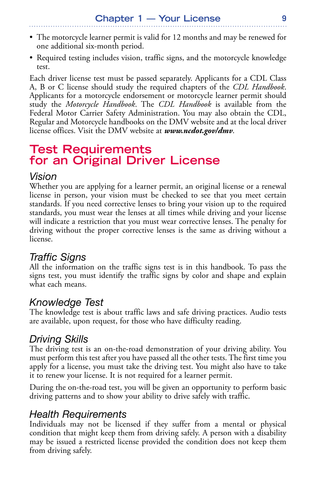- The motorcycle learner permit is valid for 12 months and may be renewed for one additional six-month period.
- Required testing includes vision, traffic signs, and the motorcycle knowledge test.

Each driver license test must be passed separately. Applicants for a CDL Class A, B or C license should study the required chapters of the *CDL Handbook*. Applicants for a motorcycle endorsement or motorcycle learner permit should study the *Motorcycle Handbook*. The *CDL Handbook* is available from the Federal Motor Carrier Safety Administration. You may also obtain the CDL, Regular and Motorcycle handbooks on the DMV website and at the local driver license offices. Visit the DMV website at *www.ncdot.gov/dmv*.

# **Test Requirements for an Original Driver License**

#### *Vision*

Whether you are applying for a learner permit, an original license or a renewal license in person, your vision must be checked to see that you meet certain standards. If you need corrective lenses to bring your vision up to the required standards, you must wear the lenses at all times while driving and your license will indicate a restriction that you must wear corrective lenses. The penalty for driving without the proper corrective lenses is the same as driving without a license.

### *Traffic Signs*

All the information on the traffic signs test is in this handbook. To pass the signs test, you must identify the traffic signs by color and shape and explain what each means.

#### *Knowledge Test*

The knowledge test is about traffic laws and safe driving practices. Audio tests are available, upon request, for those who have difficulty reading.

### *Driving Skills*

The driving test is an on-the-road demonstration of your driving ability. You must perform this test after you have passed all the other tests. The first time you apply for a license, you must take the driving test. You might also have to take it to renew your license. It is not required for a learner permit.

During the on-the-road test, you will be given an opportunity to perform basic driving patterns and to show your ability to drive safely with traffic.

### *Health Requirements*

Individuals may not be licensed if they suffer from a mental or physical condition that might keep them from driving safely. A person with a disability may be issued a restricted license provided the condition does not keep them from driving safely.